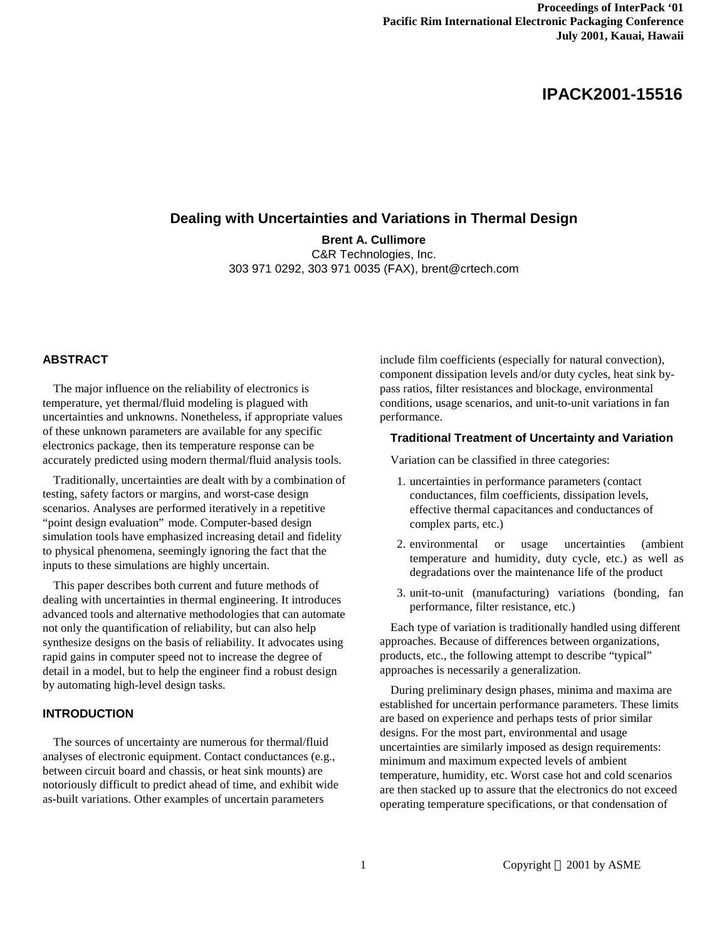# **IPACK2001-15516**

## **Dealing with Uncertainties and Variations in Thermal Design**

**Brent A. Cullimore** C&R Technologies, Inc. 303 971 0292, 303 971 0035 (FAX), brent@crtech.com

#### **ABSTRACT**

The major influence on the reliability of electronics is temperature, yet thermal/fluid modeling is plagued with uncertainties and unknowns. Nonetheless, if appropriate values of these unknown parameters are available for any specific electronics package, then its temperature response can be accurately predicted using modern thermal/fluid analysis tools.

Traditionally, uncertainties are dealt with by a combination of testing, safety factors or margins, and worst-case design scenarios. Analyses are performed iteratively in a repetitive "point design evaluation" mode. Computer-based design simulation tools have emphasized increasing detail and fidelity to physical phenomena, seemingly ignoring the fact that the inputs to these simulations are highly uncertain.

This paper describes both current and future methods of dealing with uncertainties in thermal engineering. It introduces advanced tools and alternative methodologies that can automate not only the quantification of reliability, but can also help synthesize designs on the basis of reliability. It advocates using rapid gains in computer speed not to increase the degree of detail in a model, but to help the engineer find a robust design by automating high-level design tasks.

## **INTRODUCTION**

The sources of uncertainty are numerous for thermal/fluid analyses of electronic equipment. Contact conductances (e.g., between circuit board and chassis, or heat sink mounts) are notoriously difficult to predict ahead of time, and exhibit wide as-built variations. Other examples of uncertain parameters

include film coefficients (especially for natural convection), component dissipation levels and/or duty cycles, heat sink bypass ratios, filter resistances and blockage, environmental conditions, usage scenarios, and unit-to-unit variations in fan performance.

#### **Traditional Treatment of Uncertainty and Variation**

Variation can be classified in three categories:

- 1. uncertainties in performance parameters (contact conductances, film coefficients, dissipation levels, effective thermal capacitances and conductances of complex parts, etc.)
- 2. environmental or usage uncertainties (ambient temperature and humidity, duty cycle, etc.) as well as degradations over the maintenance life of the product
- 3. unit-to-unit (manufacturing) variations (bonding, fan performance, filter resistance, etc.)

Each type of variation is traditionally handled using different approaches. Because of differences between organizations, products, etc., the following attempt to describe "typical" approaches is necessarily a generalization.

During preliminary design phases, minima and maxima are established for uncertain performance parameters. These limits are based on experience and perhaps tests of prior similar designs. For the most part, environmental and usage uncertainties are similarly imposed as design requirements: minimum and maximum expected levels of ambient temperature, humidity, etc. Worst case hot and cold scenarios are then stacked up to assure that the electronics do not exceed operating temperature specifications, or that condensation of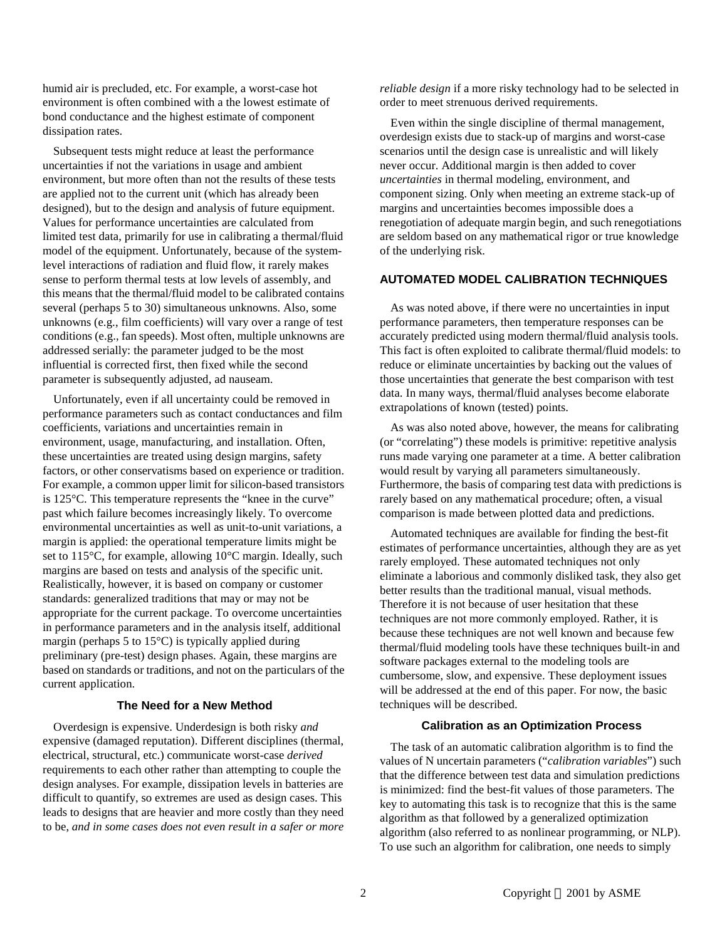humid air is precluded, etc. For example, a worst-case hot environment is often combined with a the lowest estimate of bond conductance and the highest estimate of component dissipation rates.

Subsequent tests might reduce at least the performance uncertainties if not the variations in usage and ambient environment, but more often than not the results of these tests are applied not to the current unit (which has already been designed), but to the design and analysis of future equipment. Values for performance uncertainties are calculated from limited test data, primarily for use in calibrating a thermal/fluid model of the equipment. Unfortunately, because of the systemlevel interactions of radiation and fluid flow, it rarely makes sense to perform thermal tests at low levels of assembly, and this means that the thermal/fluid model to be calibrated contains several (perhaps 5 to 30) simultaneous unknowns. Also, some unknowns (e.g., film coefficients) will vary over a range of test conditions (e.g., fan speeds). Most often, multiple unknowns are addressed serially: the parameter judged to be the most influential is corrected first, then fixed while the second parameter is subsequently adjusted, ad nauseam.

Unfortunately, even if all uncertainty could be removed in performance parameters such as contact conductances and film coefficients, variations and uncertainties remain in environment, usage, manufacturing, and installation. Often, these uncertainties are treated using design margins, safety factors, or other conservatisms based on experience or tradition. For example, a common upper limit for silicon-based transistors is 125°C. This temperature represents the "knee in the curve" past which failure becomes increasingly likely. To overcome environmental uncertainties as well as unit-to-unit variations, a margin is applied: the operational temperature limits might be set to 115°C, for example, allowing 10°C margin. Ideally, such margins are based on tests and analysis of the specific unit. Realistically, however, it is based on company or customer standards: generalized traditions that may or may not be appropriate for the current package. To overcome uncertainties in performance parameters and in the analysis itself, additional margin (perhaps 5 to  $15^{\circ}$ C) is typically applied during preliminary (pre-test) design phases. Again, these margins are based on standards or traditions, and not on the particulars of the current application.

## **The Need for a New Method**

Overdesign is expensive. Underdesign is both risky *and* expensive (damaged reputation). Different disciplines (thermal, electrical, structural, etc.) communicate worst-case *derived* requirements to each other rather than attempting to couple the design analyses. For example, dissipation levels in batteries are difficult to quantify, so extremes are used as design cases. This leads to designs that are heavier and more costly than they need to be, *and in some cases does not even result in a safer or more* 

*reliable design* if a more risky technology had to be selected in order to meet strenuous derived requirements.

Even within the single discipline of thermal management, overdesign exists due to stack-up of margins and worst-case scenarios until the design case is unrealistic and will likely never occur. Additional margin is then added to cover *uncertainties* in thermal modeling, environment, and component sizing. Only when meeting an extreme stack-up of margins and uncertainties becomes impossible does a renegotiation of adequate margin begin, and such renegotiations are seldom based on any mathematical rigor or true knowledge of the underlying risk.

#### **AUTOMATED MODEL CALIBRATION TECHNIQUES**

As was noted above, if there were no uncertainties in input performance parameters, then temperature responses can be accurately predicted using modern thermal/fluid analysis tools. This fact is often exploited to calibrate thermal/fluid models: to reduce or eliminate uncertainties by backing out the values of those uncertainties that generate the best comparison with test data. In many ways, thermal/fluid analyses become elaborate extrapolations of known (tested) points.

As was also noted above, however, the means for calibrating (or "correlating") these models is primitive: repetitive analysis runs made varying one parameter at a time. A better calibration would result by varying all parameters simultaneously. Furthermore, the basis of comparing test data with predictions is rarely based on any mathematical procedure; often, a visual comparison is made between plotted data and predictions.

Automated techniques are available for finding the best-fit estimates of performance uncertainties, although they are as yet rarely employed. These automated techniques not only eliminate a laborious and commonly disliked task, they also get better results than the traditional manual, visual methods. Therefore it is not because of user hesitation that these techniques are not more commonly employed. Rather, it is because these techniques are not well known and because few thermal/fluid modeling tools have these techniques built-in and software packages external to the modeling tools are cumbersome, slow, and expensive. These deployment issues will be addressed at the end of this paper. For now, the basic techniques will be described.

#### **Calibration as an Optimization Process**

The task of an automatic calibration algorithm is to find the values of N uncertain parameters ("*calibration variables*") such that the difference between test data and simulation predictions is minimized: find the best-fit values of those parameters. The key to automating this task is to recognize that this is the same algorithm as that followed by a generalized optimization algorithm (also referred to as nonlinear programming, or NLP). To use such an algorithm for calibration, one needs to simply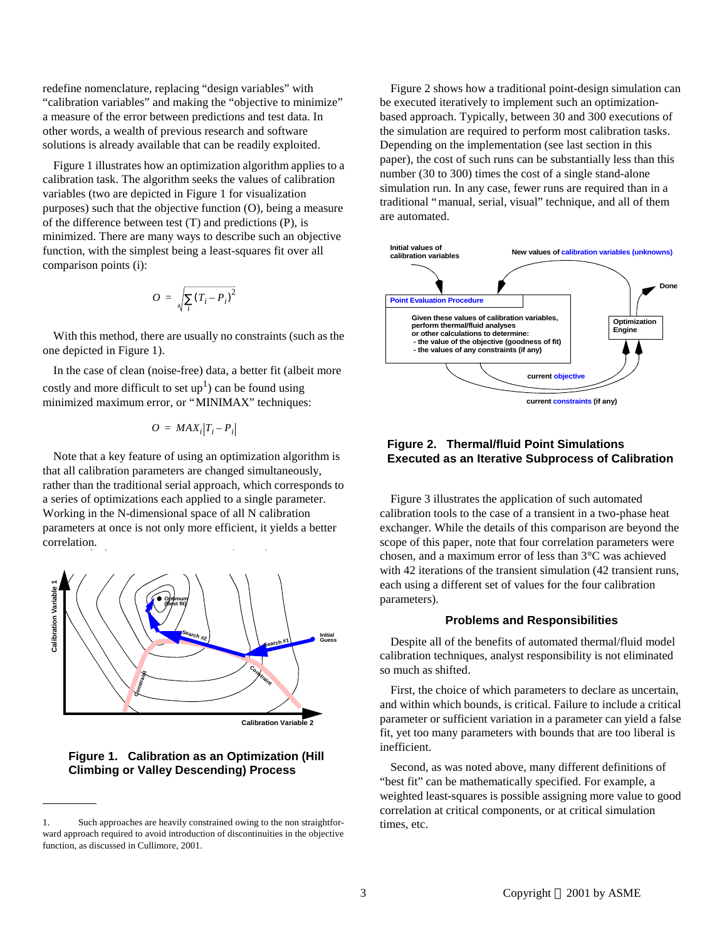redefine nomenclature, replacing "design variables" with "calibration variables" and making the "objective to minimize" a measure of the error between predictions and test data. In other words, a wealth of previous research and software solutions is already available that can be readily exploited.

Figure 1 illustrates how an optimization algorithm applies to a calibration task. The algorithm seeks the values of calibration variables (two are depicted in Figure 1 for visualization purposes) such that the objective function (O), being a measure of the difference between test (T) and predictions (P), is minimized. There are many ways to describe such an objective function, with the simplest being a least-squares fit over all comparison points (i):

$$
O = \sqrt{\sum_i (T_i - P_i)^2}
$$

With this method, there are usually no constraints (such as the one depicted in Figure 1).

In the case of clean (noise-free) data, a better fit (albeit more costly and more difficult to set  $up<sup>1</sup>$ ) can be found using minimized maximum error, or "MINIMAX" techniques:

$$
O = MAX_i | T_i - P_i |
$$

Note that a key feature of using an optimization algorithm is that all calibration parameters are changed simultaneously, rather than the traditional serial approach, which corresponds to a series of optimizations each applied to a single parameter. Working in the N-dimensional space of all N calibration parameters at once is not only more efficient, it yields a better correlation.



## **Figure 1. Calibration as an Optimization (Hill Climbing or Valley Descending) Process**

Figure 2 shows how a traditional point-design simulation can be executed iteratively to implement such an optimizationbased approach. Typically, between 30 and 300 executions of the simulation are required to perform most calibration tasks. Depending on the implementation (see last section in this paper), the cost of such runs can be substantially less than this number (30 to 300) times the cost of a single stand-alone simulation run. In any case, fewer runs are required than in a traditional "manual, serial, visual" technique, and all of them are automated.



## **Figure 2. Thermal/fluid Point Simulations Executed as an Iterative Subprocess of Calibration**

Figure 3 illustrates the application of such automated calibration tools to the case of a transient in a two-phase heat exchanger. While the details of this comparison are beyond the scope of this paper, note that four correlation parameters were chosen, and a maximum error of less than 3°C was achieved with 42 iterations of the transient simulation (42 transient runs, each using a different set of values for the four calibration parameters).

#### **Problems and Responsibilities**

Despite all of the benefits of automated thermal/fluid model calibration techniques, analyst responsibility is not eliminated so much as shifted.

First, the choice of which parameters to declare as uncertain, and within which bounds, is critical. Failure to include a critical parameter or sufficient variation in a parameter can yield a false fit, yet too many parameters with bounds that are too liberal is inefficient.

Second, as was noted above, many different definitions of "best fit" can be mathematically specified. For example, a weighted least-squares is possible assigning more value to good correlation at critical components, or at critical simulation times, etc.

<sup>1.</sup> Such approaches are heavily constrained owing to the non straightforward approach required to avoid introduction of discontinuities in the objective function, as discussed in Cullimore, 2001.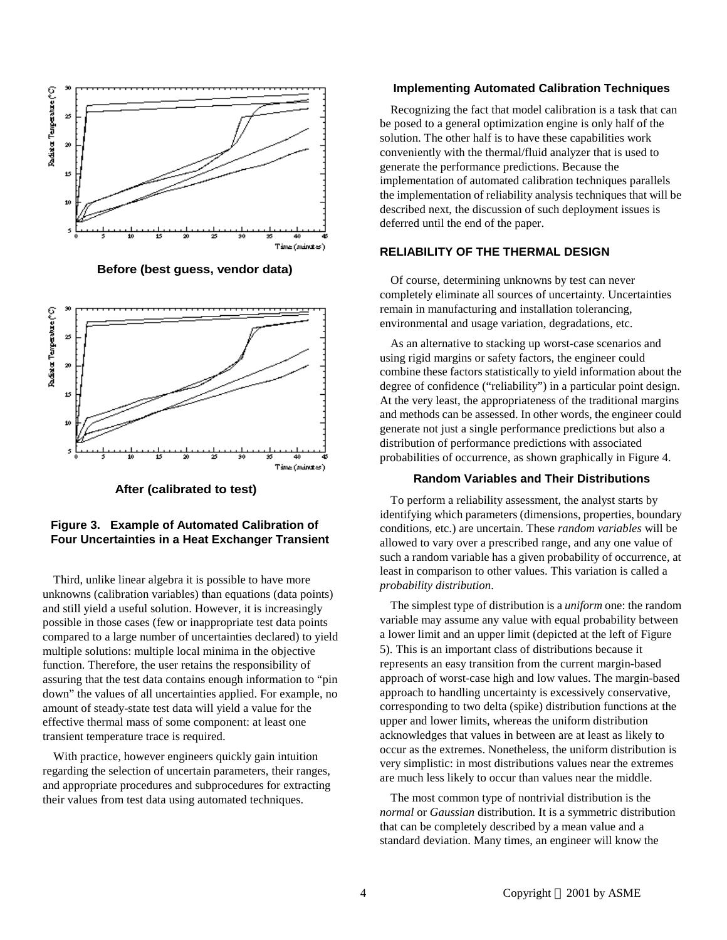

**Before (best guess, vendor data)**



**After (calibrated to test)**

## **Figure 3. Example of Automated Calibration of Four Uncertainties in a Heat Exchanger Transient**

Third, unlike linear algebra it is possible to have more unknowns (calibration variables) than equations (data points) and still yield a useful solution. However, it is increasingly possible in those cases (few or inappropriate test data points compared to a large number of uncertainties declared) to yield multiple solutions: multiple local minima in the objective function. Therefore, the user retains the responsibility of assuring that the test data contains enough information to "pin down" the values of all uncertainties applied. For example, no amount of steady-state test data will yield a value for the effective thermal mass of some component: at least one transient temperature trace is required.

With practice, however engineers quickly gain intuition regarding the selection of uncertain parameters, their ranges, and appropriate procedures and subprocedures for extracting their values from test data using automated techniques.

#### **Implementing Automated Calibration Techniques**

Recognizing the fact that model calibration is a task that can be posed to a general optimization engine is only half of the solution. The other half is to have these capabilities work conveniently with the thermal/fluid analyzer that is used to generate the performance predictions. Because the implementation of automated calibration techniques parallels the implementation of reliability analysis techniques that will be described next, the discussion of such deployment issues is deferred until the end of the paper.

## **RELIABILITY OF THE THERMAL DESIGN**

Of course, determining unknowns by test can never completely eliminate all sources of uncertainty. Uncertainties remain in manufacturing and installation tolerancing, environmental and usage variation, degradations, etc.

As an alternative to stacking up worst-case scenarios and using rigid margins or safety factors, the engineer could combine these factors statistically to yield information about the degree of confidence ("reliability") in a particular point design. At the very least, the appropriateness of the traditional margins and methods can be assessed. In other words, the engineer could generate not just a single performance predictions but also a distribution of performance predictions with associated probabilities of occurrence, as shown graphically in Figure 4.

#### **Random Variables and Their Distributions**

To perform a reliability assessment, the analyst starts by identifying which parameters (dimensions, properties, boundary conditions, etc.) are uncertain. These *random variables* will be allowed to vary over a prescribed range, and any one value of such a random variable has a given probability of occurrence, at least in comparison to other values. This variation is called a *probability distribution*.

The simplest type of distribution is a *uniform* one: the random variable may assume any value with equal probability between a lower limit and an upper limit (depicted at the left of Figure 5). This is an important class of distributions because it represents an easy transition from the current margin-based approach of worst-case high and low values. The margin-based approach to handling uncertainty is excessively conservative, corresponding to two delta (spike) distribution functions at the upper and lower limits, whereas the uniform distribution acknowledges that values in between are at least as likely to occur as the extremes. Nonetheless, the uniform distribution is very simplistic: in most distributions values near the extremes are much less likely to occur than values near the middle.

The most common type of nontrivial distribution is the *normal* or *Gaussian* distribution. It is a symmetric distribution that can be completely described by a mean value and a standard deviation. Many times, an engineer will know the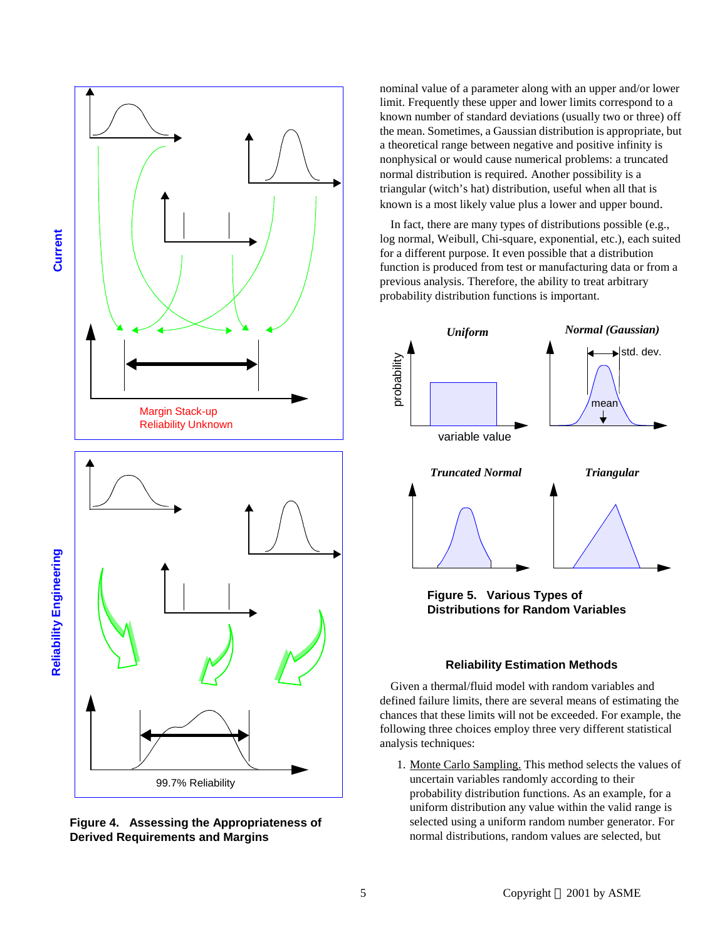



nominal value of a parameter along with an upper and/or lower limit. Frequently these upper and lower limits correspond to a known number of standard deviations (usually two or three) off the mean. Sometimes, a Gaussian distribution is appropriate, but a theoretical range between negative and positive infinity is nonphysical or would cause numerical problems: a truncated normal distribution is required. Another possibility is a triangular (witch's hat) distribution, useful when all that is known is a most likely value plus a lower and upper bound.

In fact, there are many types of distributions possible (e.g., log normal, Weibull, Chi-square, exponential, etc.), each suited for a different purpose. It even possible that a distribution function is produced from test or manufacturing data or from a previous analysis. Therefore, the ability to treat arbitrary probability distribution functions is important.



**Figure 5. Various Types of Distributions for Random Variables**

## **Reliability Estimation Methods**

Given a thermal/fluid model with random variables and defined failure limits, there are several means of estimating the chances that these limits will not be exceeded. For example, the following three choices employ three very different statistical analysis techniques:

1. Monte Carlo Sampling. This method selects the values of uncertain variables randomly according to their probability distribution functions. As an example, for a uniform distribution any value within the valid range is selected using a uniform random number generator. For normal distributions, random values are selected, but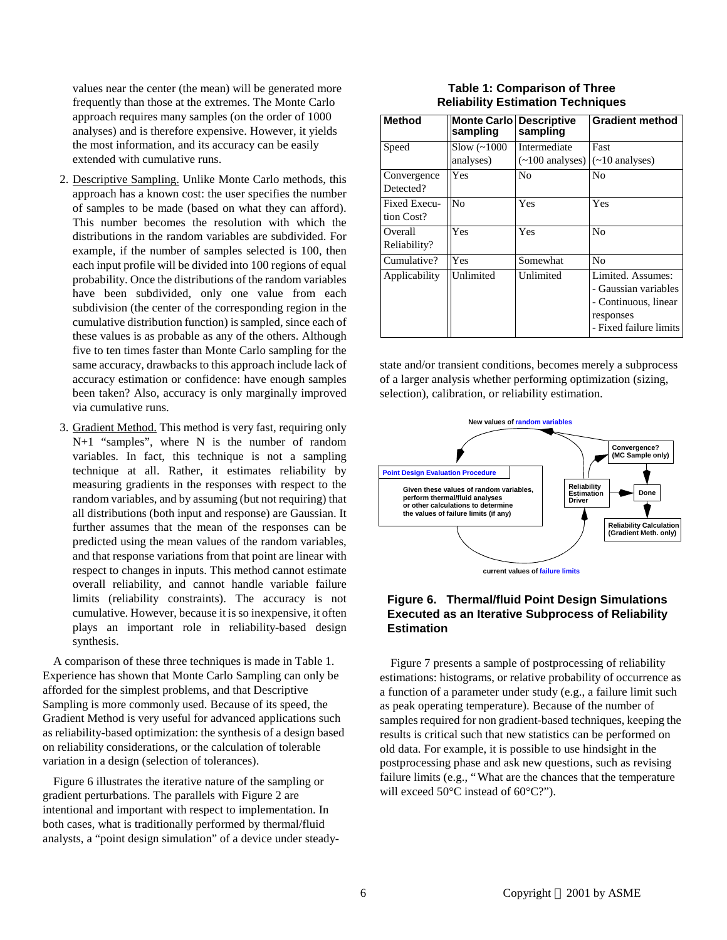values near the center (the mean) will be generated more frequently than those at the extremes. The Monte Carlo approach requires many samples (on the order of 1000 analyses) and is therefore expensive. However, it yields the most information, and its accuracy can be easily extended with cumulative runs.

- 2. Descriptive Sampling. Unlike Monte Carlo methods, this approach has a known cost: the user specifies the number of samples to be made (based on what they can afford). This number becomes the resolution with which the distributions in the random variables are subdivided. For example, if the number of samples selected is 100, then each input profile will be divided into 100 regions of equal probability. Once the distributions of the random variables have been subdivided, only one value from each subdivision (the center of the corresponding region in the cumulative distribution function) is sampled, since each of these values is as probable as any of the others. Although five to ten times faster than Monte Carlo sampling for the same accuracy, drawbacks to this approach include lack of accuracy estimation or confidence: have enough samples been taken? Also, accuracy is only marginally improved via cumulative runs.
- 3. Gradient Method. This method is very fast, requiring only N+1 "samples", where N is the number of random variables. In fact, this technique is not a sampling technique at all. Rather, it estimates reliability by measuring gradients in the responses with respect to the random variables, and by assuming (but not requiring) that all distributions (both input and response) are Gaussian. It further assumes that the mean of the responses can be predicted using the mean values of the random variables, and that response variations from that point are linear with respect to changes in inputs. This method cannot estimate overall reliability, and cannot handle variable failure limits (reliability constraints). The accuracy is not cumulative. However, because it is so inexpensive, it often plays an important role in reliability-based design synthesis.

A comparison of these three techniques is made in Table 1. Experience has shown that Monte Carlo Sampling can only be afforded for the simplest problems, and that Descriptive Sampling is more commonly used. Because of its speed, the Gradient Method is very useful for advanced applications such as reliability-based optimization: the synthesis of a design based on reliability considerations, or the calculation of tolerable variation in a design (selection of tolerances).

Figure 6 illustrates the iterative nature of the sampling or gradient perturbations. The parallels with Figure 2 are intentional and important with respect to implementation. In both cases, what is traditionally performed by thermal/fluid analysts, a "point design simulation" of a device under steady-

## **Table 1: Comparison of Three Reliability Estimation Techniques**

| <b>Method</b>              | <b>Monte Carlol</b><br>sampling | <b>Descriptive</b><br>sampling                | <b>Gradient method</b>                                                                                   |
|----------------------------|---------------------------------|-----------------------------------------------|----------------------------------------------------------------------------------------------------------|
| Speed                      | $Slow (\sim 1000$<br>analyses)  | Intermediate<br>$(\sim 100 \text{ analyses})$ | Fast<br>$(\sim 10$ analyses)                                                                             |
| Convergence<br>Detected?   | Yes                             | No                                            | No                                                                                                       |
| Fixed Execu-<br>tion Cost? | No                              | Yes                                           | Yes                                                                                                      |
| Overall<br>Reliability?    | Yes                             | Yes                                           | No                                                                                                       |
| Cumulative?                | Yes                             | Somewhat                                      | No                                                                                                       |
| Applicability              | Unlimited                       | Unlimited                                     | Limited. Assumes:<br>- Gaussian variables<br>- Continuous, linear<br>responses<br>- Fixed failure limits |

state and/or transient conditions, becomes merely a subprocess of a larger analysis whether performing optimization (sizing, selection), calibration, or reliability estimation.



## **Figure 6. Thermal/fluid Point Design Simulations Executed as an Iterative Subprocess of Reliability Estimation**

Figure 7 presents a sample of postprocessing of reliability estimations: histograms, or relative probability of occurrence as a function of a parameter under study (e.g., a failure limit such as peak operating temperature). Because of the number of samples required for non gradient-based techniques, keeping the results is critical such that new statistics can be performed on old data. For example, it is possible to use hindsight in the postprocessing phase and ask new questions, such as revising failure limits (e.g., "What are the chances that the temperature will exceed 50°C instead of 60°C?").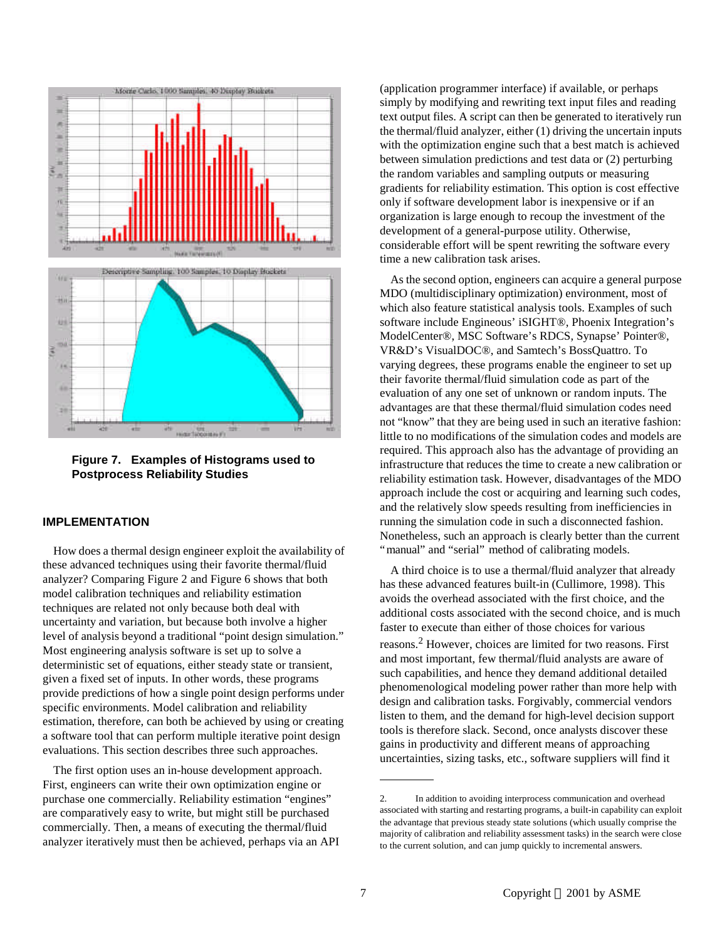

**Figure 7. Examples of Histograms used to Postprocess Reliability Studies**

## **IMPLEMENTATION**

How does a thermal design engineer exploit the availability of these advanced techniques using their favorite thermal/fluid analyzer? Comparing Figure 2 and Figure 6 shows that both model calibration techniques and reliability estimation techniques are related not only because both deal with uncertainty and variation, but because both involve a higher level of analysis beyond a traditional "point design simulation." Most engineering analysis software is set up to solve a deterministic set of equations, either steady state or transient, given a fixed set of inputs. In other words, these programs provide predictions of how a single point design performs under specific environments. Model calibration and reliability estimation, therefore, can both be achieved by using or creating a software tool that can perform multiple iterative point design evaluations. This section describes three such approaches.

The first option uses an in-house development approach. First, engineers can write their own optimization engine or purchase one commercially. Reliability estimation "engines" are comparatively easy to write, but might still be purchased commercially. Then, a means of executing the thermal/fluid analyzer iteratively must then be achieved, perhaps via an API

(application programmer interface) if available, or perhaps simply by modifying and rewriting text input files and reading text output files. A script can then be generated to iteratively run the thermal/fluid analyzer, either (1) driving the uncertain inputs with the optimization engine such that a best match is achieved between simulation predictions and test data or (2) perturbing the random variables and sampling outputs or measuring gradients for reliability estimation. This option is cost effective only if software development labor is inexpensive or if an organization is large enough to recoup the investment of the development of a general-purpose utility. Otherwise, considerable effort will be spent rewriting the software every time a new calibration task arises.

As the second option, engineers can acquire a general purpose MDO (multidisciplinary optimization) environment, most of which also feature statistical analysis tools. Examples of such software include Engineous' iSIGHT®, Phoenix Integration's ModelCenter®, MSC Software's RDCS, Synapse' Pointer®, VR&D's VisualDOC®, and Samtech's BossQuattro. To varying degrees, these programs enable the engineer to set up their favorite thermal/fluid simulation code as part of the evaluation of any one set of unknown or random inputs. The advantages are that these thermal/fluid simulation codes need not "know" that they are being used in such an iterative fashion: little to no modifications of the simulation codes and models are required. This approach also has the advantage of providing an infrastructure that reduces the time to create a new calibration or reliability estimation task. However, disadvantages of the MDO approach include the cost or acquiring and learning such codes, and the relatively slow speeds resulting from inefficiencies in running the simulation code in such a disconnected fashion. Nonetheless, such an approach is clearly better than the current "manual" and "serial" method of calibrating models.

A third choice is to use a thermal/fluid analyzer that already has these advanced features built-in (Cullimore, 1998). This avoids the overhead associated with the first choice, and the additional costs associated with the second choice, and is much faster to execute than either of those choices for various reasons.<sup>2</sup> However, choices are limited for two reasons. First and most important, few thermal/fluid analysts are aware of such capabilities, and hence they demand additional detailed phenomenological modeling power rather than more help with design and calibration tasks. Forgivably, commercial vendors listen to them, and the demand for high-level decision support tools is therefore slack. Second, once analysts discover these gains in productivity and different means of approaching uncertainties, sizing tasks, etc., software suppliers will find it

<sup>2.</sup> In addition to avoiding interprocess communication and overhead associated with starting and restarting programs, a built-in capability can exploit the advantage that previous steady state solutions (which usually comprise the majority of calibration and reliability assessment tasks) in the search were close to the current solution, and can jump quickly to incremental answers.